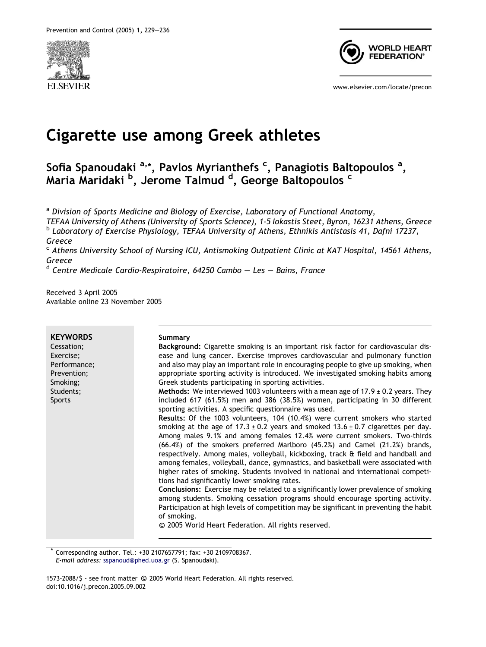



www.elsevier.com/locate/precon

# Cigarette use among Greek athletes

Sofia Spanoudaki <sup>a,</sup>\*, Pavlos Myrianthefs <sup>c</sup>, Panagiotis Baltopoulos <sup>a</sup>, Maria Maridaki <sup>b</sup>, Jerome Talmud <sup>d</sup>, George Baltopoulos <sup>c</sup>

<sup>a</sup> Division of Sports Medicine and Biology of Exercise, Laboratory of Functional Anatomy,

TEFAA University of Athens (University of Sports Science), 1-5 Iokastis Steet, Byron, 16231 Athens, Greece <sup>b</sup> Laboratory of Exercise Physiology, TEFAA University of Athens, Ethnikis Antistasis 41, Dafni 17237, Greece

<sup>c</sup> Athens University School of Nursing ICU, Antismoking Outpatient Clinic at KAT Hospital, 14561 Athens, Greece

 $d$  Centre Medicale Cardio-Respiratoire, 64250 Cambo – Les – Bains, France

Received 3 April 2005 Available online 23 November 2005

| <b>KEYWORDS</b><br>Cessation;<br>Exercise;<br>Performance;<br>Prevention;<br>Smoking;<br>Students;<br><b>Sports</b> | Summary<br>Background: Cigarette smoking is an important risk factor for cardiovascular dis-<br>ease and lung cancer. Exercise improves cardiovascular and pulmonary function<br>and also may play an important role in encouraging people to give up smoking, when<br>appropriate sporting activity is introduced. We investigated smoking habits among<br>Greek students participating in sporting activities.<br><b>Methods:</b> We interviewed 1003 volunteers with a mean age of 17.9 $\pm$ 0.2 years. They<br>included 617 (61.5%) men and 386 (38.5%) women, participating in 30 different<br>sporting activities. A specific questionnaire was used.<br>Results: Of the 1003 volunteers, 104 (10.4%) were current smokers who started<br>smoking at the age of $17.3 \pm 0.2$ years and smoked $13.6 \pm 0.7$ cigarettes per day.<br>Among males 9.1% and among females 12.4% were current smokers. Two-thirds<br>$(66.4%)$ of the smokers preferred Marlboro $(45.2%)$ and Camel $(21.2%)$ brands,<br>respectively. Among males, volleyball, kickboxing, track & field and handball and<br>among females, volleyball, dance, gymnastics, and basketball were associated with<br>higher rates of smoking. Students involved in national and international competi-<br>tions had significantly lower smoking rates.<br>Conclusions: Exercise may be related to a significantly lower prevalence of smoking<br>among students. Smoking cessation programs should encourage sporting activity.<br>Participation at high levels of competition may be significant in preventing the habit |
|---------------------------------------------------------------------------------------------------------------------|-----------------------------------------------------------------------------------------------------------------------------------------------------------------------------------------------------------------------------------------------------------------------------------------------------------------------------------------------------------------------------------------------------------------------------------------------------------------------------------------------------------------------------------------------------------------------------------------------------------------------------------------------------------------------------------------------------------------------------------------------------------------------------------------------------------------------------------------------------------------------------------------------------------------------------------------------------------------------------------------------------------------------------------------------------------------------------------------------------------------------------------------------------------------------------------------------------------------------------------------------------------------------------------------------------------------------------------------------------------------------------------------------------------------------------------------------------------------------------------------------------------------------------------------------------------------------------------------------|
|                                                                                                                     | of smoking.<br>© 2005 World Heart Federation. All rights reserved.                                                                                                                                                                                                                                                                                                                                                                                                                                                                                                                                                                                                                                                                                                                                                                                                                                                                                                                                                                                                                                                                                                                                                                                                                                                                                                                                                                                                                                                                                                                            |

\* Corresponding author. Tel.: +30 2107657791; fax: +30 2109708367. E-mail address: [sspanoud@phed.uoa.gr](mailto:sspanoud@phed.uoa.gr) (S. Spanoudaki).

1573-2088/\$ - see front matter © 2005 World Heart Federation. All rights reserved. doi:10.1016/j.precon.2005.09.002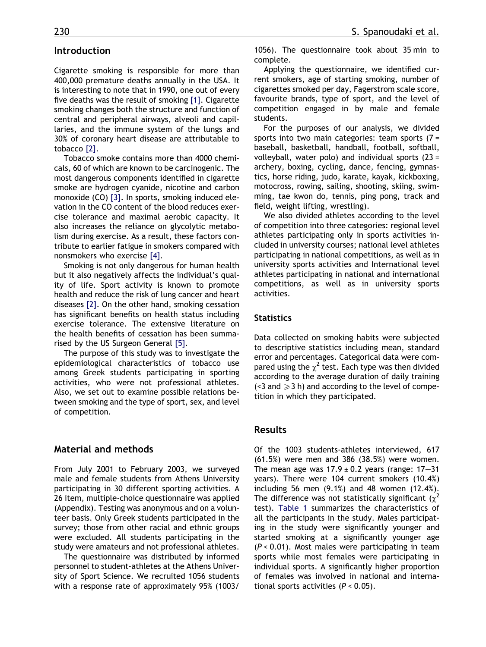#### Introduction

Cigarette smoking is responsible for more than 400,000 premature deaths annually in the USA. It is interesting to note that in 1990, one out of every five deaths was the result of smoking [\[1\].](#page-7-0) Cigarette smoking changes both the structure and function of central and peripheral airways, alveoli and capillaries, and the immune system of the lungs and 30% of coronary heart disease are attributable to tobacco [\[2\].](#page-7-0)

Tobacco smoke contains more than 4000 chemicals, 60 of which are known to be carcinogenic. The most dangerous components identified in cigarette smoke are hydrogen cyanide, nicotine and carbon monoxide (CO) [\[3\].](#page-7-0) In sports, smoking induced elevation in the CO content of the blood reduces exercise tolerance and maximal aerobic capacity. It also increases the reliance on glycolytic metabolism during exercise. As a result, these factors contribute to earlier fatigue in smokers compared with nonsmokers who exercise [\[4\]](#page-7-0).

Smoking is not only dangerous for human health but it also negatively affects the individual's quality of life. Sport activity is known to promote health and reduce the risk of lung cancer and heart diseases [\[2\]](#page-7-0). On the other hand, smoking cessation has significant benefits on health status including exercise tolerance. The extensive literature on the health benefits of cessation has been summarised by the US Surgeon General [\[5\].](#page-7-0)

The purpose of this study was to investigate the epidemiological characteristics of tobacco use among Greek students participating in sporting activities, who were not professional athletes. Also, we set out to examine possible relations between smoking and the type of sport, sex, and level of competition.

#### Material and methods

From July 2001 to February 2003, we surveyed male and female students from Athens University participating in 30 different sporting activities. A 26 item, multiple-choice questionnaire was applied (Appendix). Testing was anonymous and on a volunteer basis. Only Greek students participated in the survey; those from other racial and ethnic groups were excluded. All students participating in the study were amateurs and not professional athletes.

The questionnaire was distributed by informed personnel to student-athletes at the Athens University of Sport Science. We recruited 1056 students with a response rate of approximately 95% (1003/

1056). The questionnaire took about 35 min to complete.

Applying the questionnaire, we identified current smokers, age of starting smoking, number of cigarettes smoked per day, Fagerstrom scale score, favourite brands, type of sport, and the level of competition engaged in by male and female students.

For the purposes of our analysis, we divided sports into two main categories: team sports  $(7 =$ baseball, basketball, handball, football, softball, volleyball, water polo) and individual sports (23 = archery, boxing, cycling, dance, fencing, gymnastics, horse riding, judo, karate, kayak, kickboxing, motocross, rowing, sailing, shooting, skiing, swimming, tae kwon do, tennis, ping pong, track and field, weight lifting, wrestling).

We also divided athletes according to the level of competition into three categories: regional level athletes participating only in sports activities included in university courses; national level athletes participating in national competitions, as well as in university sports activities and International level athletes participating in national and international competitions, as well as in university sports activities.

### **Statistics**

Data collected on smoking habits were subjected to descriptive statistics including mean, standard error and percentages. Categorical data were compared using the  $\chi^2$  test. Each type was then divided according to the average duration of daily training  $($  <3 and  $\geq$  3 h) and according to the level of competition in which they participated.

#### Results

Of the 1003 students-athletes interviewed, 617 (61.5%) were men and 386 (38.5%) were women. The mean age was  $17.9 \pm 0.2$  years (range:  $17-31$ years). There were 104 current smokers (10.4%) including 56 men (9.1%) and 48 women (12.4%). The difference was not statistically significant ( $\chi^2$ test). [Table 1](#page-2-0) summarizes the characteristics of all the participants in the study. Males participating in the study were significantly younger and started smoking at a significantly younger age (P < 0.01). Most males were participating in team sports while most females were participating in individual sports. A significantly higher proportion of females was involved in national and international sports activities  $(P < 0.05)$ .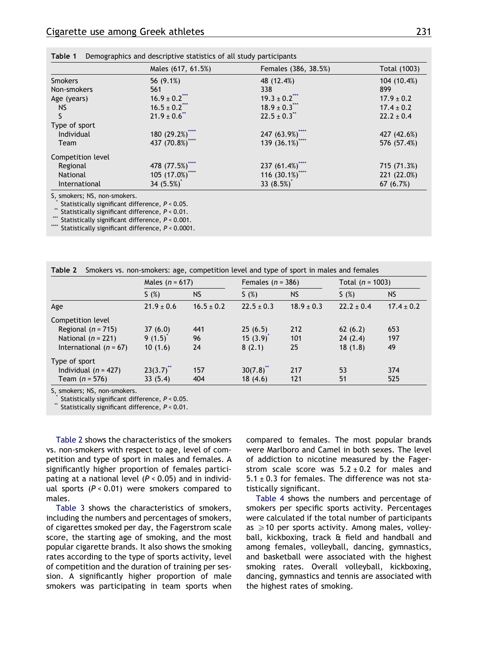|                   | Males (617, 61.5%) | Females (386, 38.5%) | Total (1003)   |
|-------------------|--------------------|----------------------|----------------|
| <b>Smokers</b>    | 56 (9.1%)          | 48 (12.4%)           | 104 (10.4%)    |
| Non-smokers       | 561                | 338                  | 899            |
| Age (years)       | $16.9 \pm 0.2$ *** | $19.3 \pm 0.2$ ***   | $17.9 \pm 0.2$ |
| <b>NS</b>         | $16.5 \pm 0.2$     | $18.9 \pm 0.3$ ***   | $17.4 \pm 0.2$ |
|                   | $21.9 \pm 0.6$ **  | $22.5 \pm 0.3$ **    | $22.2 \pm 0.4$ |
| Type of sport     |                    |                      |                |
| Individual        | 180 (29.2%)****    | 247 (63.9%)****      | 427 (42.6%)    |
| Team              | 437 (70.8%)****    | 139 (36.1%)****      | 576 (57.4%)    |
| Competition level |                    |                      |                |
| Regional          | 478 (77.5%)        | 237(61.4%)           | 715 (71.3%)    |
| <b>National</b>   | 105 (17.0%)****    | 116 $(30.1\%)$ ****  | 221 (22.0%)    |
| International     | 34 $(5.5%)^*$      | 33 $(8.5%)^*$        | 67 $(6.7%)$    |

<span id="page-2-0"></span>Table 1 Demographics and descriptive statistics of all study participants

Statistically significant difference,  $P < 0.05$ .<br>Statistically significant difference,  $P < 0.01$ .<br>Statistically significant difference,  $P < 0.001$ .

Statistically significant difference,  $P < 0.0001$ .

|                          | Males $(n = 617)$     |                | Females $(n = 386)$  |                | Total $(n = 1003)$ |                |
|--------------------------|-----------------------|----------------|----------------------|----------------|--------------------|----------------|
|                          | S(%)                  | <b>NS</b>      | S(%)                 | <b>NS</b>      | S(%)               | <b>NS</b>      |
| Age                      | $21.9 \pm 0.6$        | $16.5 \pm 0.2$ | $22.5 \pm 0.3$       | $18.9 \pm 0.3$ | $22.2 \pm 0.4$     | $17.4 \pm 0.2$ |
| Competition level        |                       |                |                      |                |                    |                |
| Regional $(n = 715)$     | 37(6.0)               | 441            | 25(6.5)              | 212            | 62(6.2)            | 653            |
| National $(n = 221)$     | $9(1.5)$ <sup>*</sup> | 96             | $15(3.9)^{^{\circ}}$ | 101            | 24(2.4)            | 197            |
| International $(n = 67)$ | 10(1.6)               | 24             | 8(2.1)               | 25             | 18(1.8)            | 49             |
| Type of sport            |                       |                |                      |                |                    |                |
| Individual $(n = 427)$   | $23(3.7)^{**}$        | 157            | $30(7.8)^{4}$        | 217            | 53                 | 374            |
| Team $(n = 576)$         | 33(5.4)               | 404            | 18(4.6)              | 121            | 51                 | 525            |

S, smokers; NS, non-smokers.

Statistically significant difference,  $P < 0.05$ .<br>Statistically significant difference,  $P < 0.01$ .

Table 2 shows the characteristics of the smokers vs. non-smokers with respect to age, level of competition and type of sport in males and females. A significantly higher proportion of females participating at a national level  $(P < 0.05)$  and in individual sports  $(P < 0.01)$  were smokers compared to males.

[Table 3](#page-3-0) shows the characteristics of smokers, including the numbers and percentages of smokers, of cigarettes smoked per day, the Fagerstrom scale score, the starting age of smoking, and the most popular cigarette brands. It also shows the smoking rates according to the type of sports activity, level of competition and the duration of training per session. A significantly higher proportion of male smokers was participating in team sports when compared to females. The most popular brands were Marlboro and Camel in both sexes. The level of addiction to nicotine measured by the Fagerstrom scale score was  $5.2 \pm 0.2$  for males and  $5.1 \pm 0.3$  for females. The difference was not statistically significant.

[Table 4](#page-4-0) shows the numbers and percentage of smokers per specific sports activity. Percentages were calculated if the total number of participants as  $\geqslant$  10 per sports activity. Among males, volleyball, kickboxing, track & field and handball and among females, volleyball, dancing, gymnastics, and basketball were associated with the highest smoking rates. Overall volleyball, kickboxing, dancing, gymnastics and tennis are associated with the highest rates of smoking.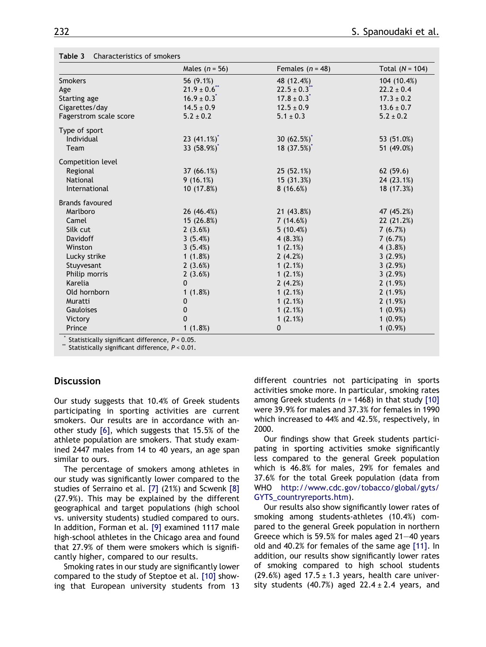|                        | Males $(n = 56)$ | Females $(n = 48)$          | Total $(N = 104)$ |  |
|------------------------|------------------|-----------------------------|-------------------|--|
| <b>Smokers</b>         | 56 (9.1%)        | 48 (12.4%)                  | 104 (10.4%)       |  |
| Age                    | $21.9 \pm 0.6$   | $22.5 \pm 0.3$              | $22.2 \pm 0.4$    |  |
| Starting age           | $16.9 \pm 0.3^*$ | $17.8 \pm 0.3$ <sup>*</sup> | $17.3 \pm 0.2$    |  |
| Cigarettes/day         | $14.5 \pm 0.9$   | $12.5 \pm 0.9$              | $13.6 \pm 0.7$    |  |
| Fagerstrom scale score | $5.2 \pm 0.2$    | $5.1 \pm 0.3$               | $5.2 \pm 0.2$     |  |
| Type of sport          |                  |                             |                   |  |
| Individual             | 23 $(41.1\%)^*$  | 30 $(62.5%)^*$              | 53 (51.0%)        |  |
| Team                   | 33 (58.9%)       | 18(37.5%)                   | 51 (49.0%)        |  |
| Competition level      |                  |                             |                   |  |
| Regional               | 37(66.1%)        | 25 (52.1%)                  | 62(59.6)          |  |
| National               | 9(16.1%)         | 15 (31.3%)                  | 24 (23.1%)        |  |
| International          | 10 (17.8%)       | 8(16.6%)                    | 18 (17.3%)        |  |
| <b>Brands favoured</b> |                  |                             |                   |  |
| Marlboro               | 26 (46.4%)       | 21 (43.8%)                  | 47 (45.2%)        |  |
| Camel                  | 15 (26.8%)       | 7(14.6%)                    | 22 (21.2%)        |  |
| Silk cut               | 2(3.6%)          | 5(10.4%)                    | 7(6.7%)           |  |
| Davidoff               | 3(5.4%)          | 4(8.3%)                     | 7(6.7%)           |  |
| Winston                | 3(5.4%)          | 1(2.1%)                     | 4(3.8%)           |  |
| Lucky strike           | 1(1.8%)          | 2(4.2%)                     | 3(2.9%)           |  |
| Stuyvesant             | 2(3.6%)          | 1(2.1%)                     | 3(2.9%)           |  |
| Philip morris          | 2(3.6%)          | 1(2.1%)                     | 3(2.9%)           |  |
| Karelia                | $\mathbf{0}$     | 2(4.2%)                     | 2(1.9%)           |  |
| Old hornborn           | 1(1.8%)          | 1(2.1%)                     | 2(1.9%)           |  |
| Muratti                | $\mathbf 0$      | 1(2.1%)                     | 2(1.9%)           |  |
| Gauloises              | $\mathbf 0$      | 1(2.1%)                     | $1(0.9\%)$        |  |
| Victory                | $\Omega$         | 1(2.1%)                     | $1(0.9\%)$        |  |
| Prince                 | 1(1.8%)          | 0                           | $1(0.9\%)$        |  |

#### <span id="page-3-0"></span>Table 3 Characteristics of smokers

Statistically significant difference,  $P < 0.05$ .

Statistically significant difference,  $P < 0.01$ .

#### **Discussion**

Our study suggests that 10.4% of Greek students participating in sporting activities are current smokers. Our results are in accordance with another study [\[6\],](#page-7-0) which suggests that 15.5% of the athlete population are smokers. That study examined 2447 males from 14 to 40 years, an age span similar to ours.

The percentage of smokers among athletes in our study was significantly lower compared to the studies of Serraino et al. [\[7\]](#page-7-0) (21%) and Scwenk [\[8\]](#page-7-0) (27.9%). This may be explained by the different geographical and target populations (high school vs. university students) studied compared to ours. In addition, Forman et al. [\[9\]](#page-7-0) examined 1117 male high-school athletes in the Chicago area and found that 27.9% of them were smokers which is significantly higher, compared to our results.

Smoking rates in our study are significantly lower compared to the study of Steptoe et al. [\[10\]](#page-7-0) showing that European university students from 13

different countries not participating in sports activities smoke more. In particular, smoking rates among Greek students ( $n = 1468$ ) in that study [\[10\]](#page-7-0) were 39.9% for males and 37.3% for females in 1990 which increased to 44% and 42.5%, respectively, in 2000.

Our findings show that Greek students participating in sporting activities smoke significantly less compared to the general Greek population which is 46.8% for males, 29% for females and 37.6% for the total Greek population (data from WHO [http://www.cdc.gov/tobacco/global/gyts/](http://www.cdc.gov/tobacco/global/gyts/GYTS_countryreports.htm) [GYTS\\_countryreports.htm\)](http://www.cdc.gov/tobacco/global/gyts/GYTS_countryreports.htm).

Our results also show significantly lower rates of smoking among students-athletes (10.4%) compared to the general Greek population in northern Greece which is 59.5% for males aged 21–40 years old and 40.2% for females of the same age [\[11\].](#page-7-0) In addition, our results show significantly lower rates of smoking compared to high school students  $(29.6%)$  aged  $17.5 \pm 1.3$  years, health care university students  $(40.7%)$  aged  $22.4 \pm 2.4$  years, and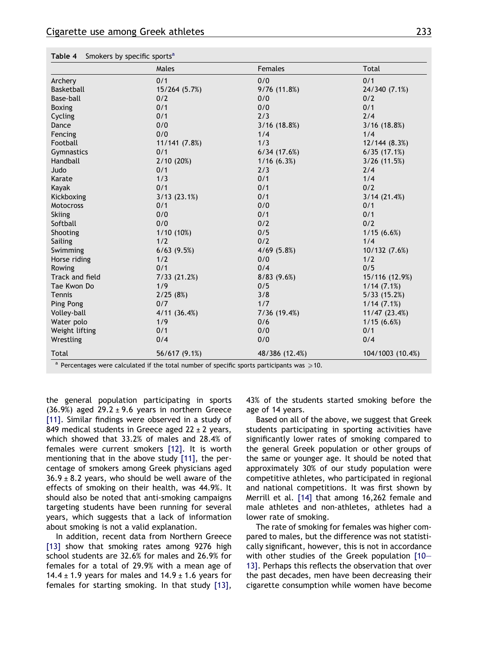|                   | Males            | <b>Females</b>  | <b>Total</b>     |  |
|-------------------|------------------|-----------------|------------------|--|
| Archery           | 0/1              | 0/0             | 0/1              |  |
| <b>Basketball</b> | 15/264 (5.7%)    | 9/76(11.8%)     | 24/340 (7.1%)    |  |
| Base-ball         | 0/2              | 0/0             | 0/2              |  |
| <b>Boxing</b>     | 0/1              | 0/0             | 0/1              |  |
| Cycling           | 0/1              | 2/3             | 2/4              |  |
| Dance             | 0/0              | $3/16$ (18.8%)  | $3/16$ (18.8%)   |  |
| Fencing           | 0/0              | 1/4             | 1/4              |  |
| Football          | 11/141 (7.8%)    | 1/3             | 12/144 (8.3%)    |  |
| Gymnastics        | 0/1              | 6/34(17.6%)     | 6/35(17.1%)      |  |
| Handball          | 2/10(20%)        | 1/16(6.3%)      | $3/26$ (11.5%)   |  |
| Judo              | 0/1              | 2/3             | 2/4              |  |
| Karate            | 1/3              | 0/1             | 1/4              |  |
| Kayak             | 0/1              | 0/1             | 0/2              |  |
| Kickboxing        | 3/13(23.1%)      | 0/1             | 3/14(21.4%)      |  |
| Motocross         | 0/1              | 0/0             | 0/1              |  |
| <b>Skiing</b>     | 0/0              | 0/1             | 0/1              |  |
| Softball          | 0/0              | 0/2             | 0/2              |  |
| Shooting          | 1/10(10%)        | 0/5             | 1/15(6.6%)       |  |
| Sailing           | 1/2              | 0/2             | 1/4              |  |
| Swimming          | $6/63$ $(9.5%)$  | $4/69$ $(5.8%)$ | 10/132 (7.6%)    |  |
| Horse riding      | 1/2              | 0/0             | 1/2              |  |
| Rowing            | 0/1<br>0/4       |                 | 0/5              |  |
| Track and field   | 7/33(21.2%)      | 8/83(9.6%)      | 15/116 (12.9%)   |  |
| Tae Kwon Do       | 1/9              | 0/5             | 1/14(7.1%)       |  |
| Tennis            | 2/25(8%)         | 3/8             | 5/33(15.2%)      |  |
| Ping Pong         | 0/7              | 1/7             | 1/14(7.1%)       |  |
| Volley-ball       | $4/11$ $(36.4%)$ | 7/36 (19.4%)    | 11/47 (23.4%)    |  |
| Water polo        | 1/9              | 0/6             | 1/15(6.6%)       |  |
| Weight lifting    | 0/1              | 0/0             | 0/1              |  |
| Wrestling         | 0/4              | 0/0             | 0/4              |  |
| Total             | 56/617 (9.1%)    | 48/386 (12.4%)  | 104/1003 (10.4%) |  |

<span id="page-4-0"></span>Table 4 Smokers by specific sports<sup>a</sup>

<sup>a</sup> Percentages were calculated if the total number of specific sports participants was  $\geqslant$  10.

the general population participating in sports (36.9%) aged  $29.2 \pm 9.6$  years in northern Greece [\[11\]](#page-7-0). Similar findings were observed in a study of 849 medical students in Greece aged  $22 \pm 2$  years, which showed that 33.2% of males and 28.4% of females were current smokers [\[12\]](#page-7-0). It is worth mentioning that in the above study [\[11\]](#page-7-0), the percentage of smokers among Greek physicians aged  $36.9 \pm 8.2$  years, who should be well aware of the effects of smoking on their health, was 44.9%. It should also be noted that anti-smoking campaigns targeting students have been running for several years, which suggests that a lack of information about smoking is not a valid explanation.

In addition, recent data from Northern Greece [\[13\]](#page-7-0) show that smoking rates among 9276 high school students are 32.6% for males and 26.9% for females for a total of 29.9% with a mean age of 14.4  $\pm$  1.9 years for males and 14.9  $\pm$  1.6 years for females for starting smoking. In that study [\[13\]](#page-7-0), 43% of the students started smoking before the age of 14 years.

Based on all of the above, we suggest that Greek students participating in sporting activities have significantly lower rates of smoking compared to the general Greek population or other groups of the same or younger age. It should be noted that approximately 30% of our study population were competitive athletes, who participated in regional and national competitions. It was first shown by Merrill et al. [\[14\]](#page-7-0) that among 16,262 female and male athletes and non-athletes, athletes had a lower rate of smoking.

The rate of smoking for females was higher compared to males, but the difference was not statistically significant, however, this is not in accordance with other studies of the Greek population [\[10–](#page-7-0) [13\].](#page-7-0) Perhaps this reflects the observation that over the past decades, men have been decreasing their cigarette consumption while women have become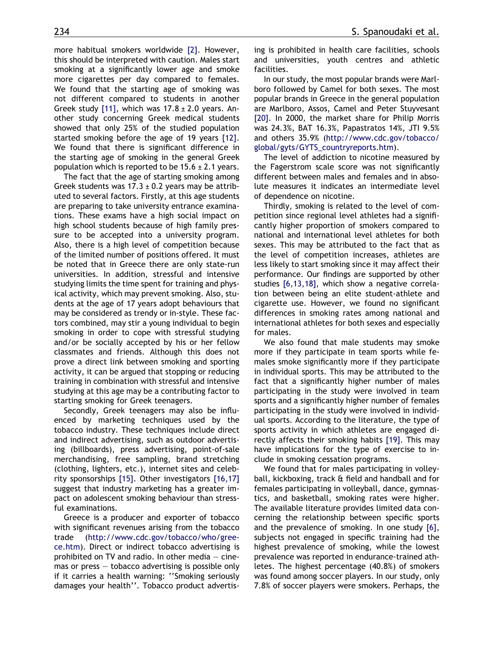more habitual smokers worldwide [\[2\].](#page-7-0) However, this should be interpreted with caution. Males start smoking at a significantly lower age and smoke more cigarettes per day compared to females. We found that the starting age of smoking was not different compared to students in another Greek study [\[11\]](#page-7-0), which was  $17.8 \pm 2.0$  years. Another study concerning Greek medical students showed that only 25% of the studied population started smoking before the age of 19 years [\[12\].](#page-7-0) We found that there is significant difference in the starting age of smoking in the general Greek population which is reported to be  $15.6 \pm 2.1$  years.

The fact that the age of starting smoking among Greek students was  $17.3 \pm 0.2$  years may be attributed to several factors. Firstly, at this age students are preparing to take university entrance examinations. These exams have a high social impact on high school students because of high family pressure to be accepted into a university program. Also, there is a high level of competition because of the limited number of positions offered. It must be noted that in Greece there are only state-run universities. In addition, stressful and intensive studying limits the time spent for training and physical activity, which may prevent smoking. Also, students at the age of 17 years adopt behaviours that may be considered as trendy or in-style. These factors combined, may stir a young individual to begin smoking in order to cope with stressful studying and/or be socially accepted by his or her fellow classmates and friends. Although this does not prove a direct link between smoking and sporting activity, it can be argued that stopping or reducing training in combination with stressful and intensive studying at this age may be a contributing factor to starting smoking for Greek teenagers.

Secondly, Greek teenagers may also be influenced by marketing techniques used by the tobacco industry. These techniques include direct and indirect advertising, such as outdoor advertising (billboards), press advertising, point-of-sale merchandising, free sampling, brand stretching (clothing, lighters, etc.), internet sites and celebrity sponsorships [\[15\]](#page-7-0). Other investigators [\[16,17\]](#page-7-0) suggest that industry marketing has a greater impact on adolescent smoking behaviour than stressful examinations.

Greece is a producer and exporter of tobacco with significant revenues arising from the tobacco trade ([http://www.cdc.gov/tobacco/who/gree](http://www.cdc.gov/tobacco/who/greece.htm)[ce.htm](http://www.cdc.gov/tobacco/who/greece.htm)). Direct or indirect tobacco advertising is prohibited on TV and radio. In other media  $-$  cinemas or press – tobacco advertising is possible only if it carries a health warning: ''Smoking seriously damages your health''. Tobacco product advertising is prohibited in health care facilities, schools and universities, youth centres and athletic facilities.

In our study, the most popular brands were Marlboro followed by Camel for both sexes. The most popular brands in Greece in the general population are Marlboro, Assos, Camel and Peter Stuyvesant [\[20\]](#page-7-0). In 2000, the market share for Philip Morris was 24.3%, BAT 16.3%, Papastratos 14%, JTI 9.5% and others 35.9% ([http://www.cdc.gov/tobacco/](http://www.cdc.gov/tobacco/global/gyts/GYTS_countryreports.htm) [global/gyts/GYTS\\_countryreports.htm](http://www.cdc.gov/tobacco/global/gyts/GYTS_countryreports.htm)).

The level of addiction to nicotine measured by the Fagerstrom scale score was not significantly different between males and females and in absolute measures it indicates an intermediate level of dependence on nicotine.

Thirdly, smoking is related to the level of competition since regional level athletes had a significantly higher proportion of smokers compared to national and international level athletes for both sexes. This may be attributed to the fact that as the level of competition increases, athletes are less likely to start smoking since it may affect their performance. Our findings are supported by other studies [\[6,13,18\]](#page-7-0), which show a negative correlation between being an elite student-athlete and cigarette use. However, we found no significant differences in smoking rates among national and international athletes for both sexes and especially for males.

We also found that male students may smoke more if they participate in team sports while females smoke significantly more if they participate in individual sports. This may be attributed to the fact that a significantly higher number of males participating in the study were involved in team sports and a significantly higher number of females participating in the study were involved in individual sports. According to the literature, the type of sports activity in which athletes are engaged directly affects their smoking habits [\[19\]](#page-7-0). This may have implications for the type of exercise to include in smoking cessation programs.

We found that for males participating in volleyball, kickboxing, track & field and handball and for females participating in volleyball, dance, gymnastics, and basketball, smoking rates were higher. The available literature provides limited data concerning the relationship between specific sports and the prevalence of smoking. In one study [\[6\],](#page-7-0) subjects not engaged in specific training had the highest prevalence of smoking, while the lowest prevalence was reported in endurance-trained athletes. The highest percentage (40.8%) of smokers was found among soccer players. In our study, only 7.8% of soccer players were smokers. Perhaps, the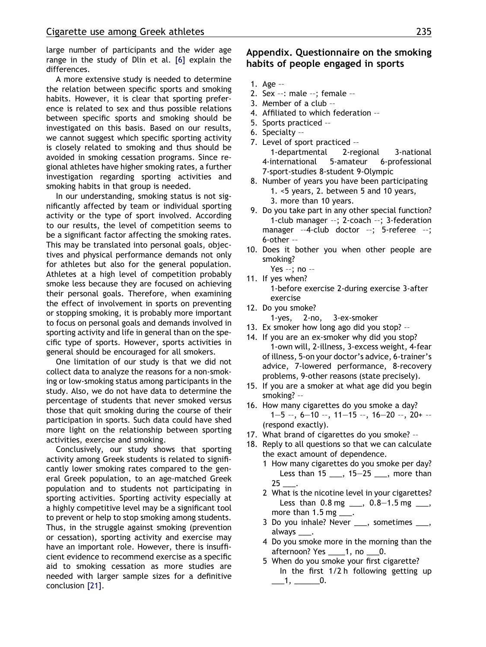large number of participants and the wider age range in the study of Dlin et al. [\[6\]](#page-7-0) explain the differences.

A more extensive study is needed to determine the relation between specific sports and smoking habits. However, it is clear that sporting preference is related to sex and thus possible relations between specific sports and smoking should be investigated on this basis. Based on our results, we cannot suggest which specific sporting activity is closely related to smoking and thus should be avoided in smoking cessation programs. Since regional athletes have higher smoking rates, a further investigation regarding sporting activities and smoking habits in that group is needed.

In our understanding, smoking status is not significantly affected by team or individual sporting activity or the type of sport involved. According to our results, the level of competition seems to be a significant factor affecting the smoking rates. This may be translated into personal goals, objectives and physical performance demands not only for athletes but also for the general population. Athletes at a high level of competition probably smoke less because they are focused on achieving their personal goals. Therefore, when examining the effect of involvement in sports on preventing or stopping smoking, it is probably more important to focus on personal goals and demands involved in sporting activity and life in general than on the specific type of sports. However, sports activities in general should be encouraged for all smokers.

One limitation of our study is that we did not collect data to analyze the reasons for a non-smoking or low-smoking status among participants in the study. Also, we do not have data to determine the percentage of students that never smoked versus those that quit smoking during the course of their participation in sports. Such data could have shed more light on the relationship between sporting activities, exercise and smoking.

Conclusively, our study shows that sporting activity among Greek students is related to significantly lower smoking rates compared to the general Greek population, to an age-matched Greek population and to students not participating in sporting activities. Sporting activity especially at a highly competitive level may be a significant tool to prevent or help to stop smoking among students. Thus, in the struggle against smoking (prevention or cessation), sporting activity and exercise may have an important role. However, there is insufficient evidence to recommend exercise as a specific aid to smoking cessation as more studies are needed with larger sample sizes for a definitive conclusion [\[21\]](#page-7-0).

## Appendix. Questionnaire on the smoking habits of people engaged in sports

- 1. Age ——
- 2. Sex  $-$ : male  $-$ ; female  $-$
- 3. Member of a club ——
- 4. Affiliated to which federation --
- 5. Sports practiced --
- 6. Specialty ——
- 7. Level of sport practiced --1-departmental 2-regional 3-national 4-international 5-amateur 6-professional 7-sport-studies 8-student 9-Olympic
- 8. Number of years you have been participating 1. <5 years, 2. between 5 and 10 years, 3. more than 10 years.
- 9. Do you take part in any other special function? 1-club manager --; 2-coach --; 3-federation manager --4-club doctor --; 5-referee --; 6-other ——
- 10. Does it bother you when other people are smoking?
- Yes  $-$ ; no  $-$ 11. If yes when? 1-before exercise 2-during exercise 3-after exercise
- 12. Do you smoke?
	- 1-yes, 2-no, 3-ex-smoker
- 13. Ex smoker how long ago did you stop? --
- 14. If you are an ex-smoker why did you stop? 1-own will, 2-illness, 3-excess weight, 4-fear of illness, 5-on your doctor's advice, 6-trainer's advice, 7-lowered performance, 8-recovery problems, 9-other reasons (state precisely).
- 15. If you are a smoker at what age did you begin smoking? --
- 16. How many cigarettes do you smoke a day?  $1-5 -$ ,  $6-10 -$ ,  $11-15 -$ ,  $16-20 -$ ,  $20+ -$ (respond exactly).
- 17. What brand of cigarettes do you smoke? --
- 18. Reply to all questions so that we can calculate the exact amount of dependence.
	- 1 How many cigarettes do you smoke per day? Less than 15 \_\_\_, 15-25 \_\_\_, more than 25 \_\_\_.
	- 2 What is the nicotine level in your cigarettes? Less than  $0.8 \text{ mg}$  \_\_\_,  $0.8-1.5 \text{ mg}$  \_\_\_, more than  $1.5$  mg  $\_\_\$ .
	- 3 Do you inhale? Never \_\_\_, sometimes \_\_\_, always \_\_\_.
	- 4 Do you smoke more in the morning than the afternoon? Yes \_\_\_\_1, no \_\_\_0.
	- 5 When do you smoke your first cigarette? In the first 1/2 h following getting up  $\_\_1, \_\_0$ .